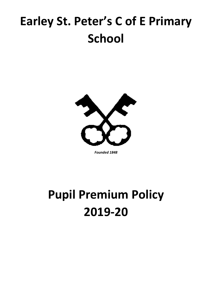# **Earley St. Peter's C of E Primary School**



*Founded 1848*

# **Pupil Premium Policy 2019-20**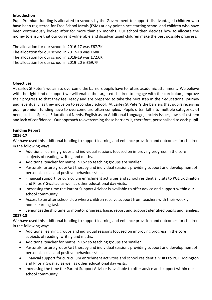#### **Introduction**

Pupil Premium funding is allocated to schools by the Government to support disadvantaged children who have been registered for Free School Meals (FSM) at any point since starting school and children who have been continuously looked after for more than six months. Our school then decides how to allocate the money to ensure that our current vulnerable and disadvantaged children make the best possible progress.

The allocation for our school in 2016-17 was £67.7K The allocation for our school in 2017-18 was £68K The allocation for our school in 2018-19 was £72.6K The allocation for our school in 2019-20 is £69.7K

#### **Objectives**

At Earley St Peter's we aim to overcome the barriers pupils have to future academic attainment. We believe with the right kind of support we will enable the targeted children to engage with the curriculum, improve their progress so that they feel ready and are prepared to take the next step in their educational journey and, eventually, as they move on to secondary school. At Earley St Peter's the barriers that pupils receiving pupil premium funding have to overcome are often complex. Pupils often fall into multiple categories of need, such as Special Educational Needs, English as an Additional Language, anxiety issues, low self-esteem and lack of confidence. Our approach to overcoming these barriers is, therefore, personalised to each pupil.

## **Funding Report**

#### **2016-17**

We have used this additional funding to support learning and enhance provision and outcomes for children in the following ways:

- Additional learning groups and individual sessions focused on improving progress in the core subjects of reading, writing and maths.
- Additional teacher for maths in KS2 so teaching groups are smaller
- Pastoral/nurture groups/art therapy and individual sessions providing support and development of personal, social and positive behaviour skills.
- Financial support for curriculum enrichment activities and school residential visits to PGL Liddington and Rhos Y Gwaliau as well as other educational day visits.
- Increasing the time the Parent Support Advisor is available to offer advice and support within our school community.
- Access to an after school club where children receive support from teachers with their weekly home learning tasks.
- Senior Leadership time to monitor progress, liaise, report and support identified pupils and families.

## **2017-18**

We have used this additional funding to support learning and enhance provision and outcomes for children in the following ways:

- Additional learning groups and individual sessions focused on improving progress in the core subjects of reading, writing and maths.
- Additional teacher for maths in KS2 so teaching groups are smaller
- Pastoral/nurture groups/art therapy and individual sessions providing support and development of personal, social and positive behaviour skills.
- Financial support for curriculum enrichment activities and school residential visits to PGL Liddington and Rhos Y Gwaliau as well as other educational day visits.
- Increasing the time the Parent Support Advisor is available to offer advice and support within our school community.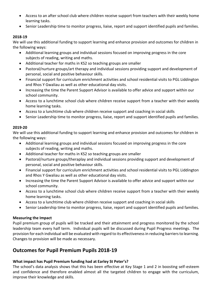- Access to an after school club where children receive support from teachers with their weekly home learning tasks.
- Senior Leadership time to monitor progress, liaise, report and support identified pupils and families.

## **2018-19**

We will use this additional funding to support learning and enhance provision and outcomes for children in the following ways:

- Additional learning groups and individual sessions focused on improving progress in the core subjects of reading, writing and maths.
- Additional teacher for maths in KS2 so teaching groups are smaller
- Pastoral/nurture groups/art therapy and individual sessions providing support and development of personal, social and positive behaviour skills.
- Financial support for curriculum enrichment activities and school residential visits to PGL Liddington and Rhos Y Gwaliau as well as other educational day visits.
- Increasing the time the Parent Support Advisor is available to offer advice and support within our school community.
- Access to a lunchtime school club where children receive support from a teacher with their weekly home learning tasks.
- Access to a lunchtime club where children receive support and coaching in social skills
- Senior Leadership time to monitor progress, liaise, report and support identified pupils and families.

## **2019-20**

We will use this additional funding to support learning and enhance provision and outcomes for children in the following ways:

- Additional learning groups and individual sessions focused on improving progress in the core subjects of reading, writing and maths.
- Additional teacher for maths in KS2 so teaching groups are smaller
- Pastoral/nurture groups/theraplay and individual sessions providing support and development of personal, social and positive behaviour skills.
- Financial support for curriculum enrichment activities and school residential visits to PGL Liddington and Rhos Y Gwaliau as well as other educational day visits.
- Increasing the time the Parent Support Advisor is available to offer advice and support within our school community.
- Access to a lunchtime school club where children receive support from a teacher with their weekly home learning tasks.
- Access to a lunchtime club where children receive support and coaching in social skills
- Senior Leadership time to monitor progress, liaise, report and support identified pupils and families.

## **Measuring the Impact**

Pupil premium group of pupils will be tracked and their attainment and progress monitored by the school leadership team every half term. Individual pupils will be discussed during Pupil Progress meetings. The provision for each individual will be evaluated with regard to its effectiveness in reducing barriers to learning. Changes to provision will be made as necessary.

# **Outcomes for Pupil Premium Pupils 2018-19**

## **What impact has Pupil Premium funding had at Earley St Peter's?**

The school's data analysis shows that this has been effective at Key Stage 1 and 2 in boosting self-esteem and confidence and therefore enabled almost all the targeted children to engage with the curriculum, improve their knowledge and skills.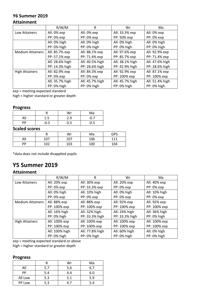# **Y6 Summer 2019**

## **Attainment**

|                         | R/W/M           | R               | Wr              | Ma              |
|-------------------------|-----------------|-----------------|-----------------|-----------------|
| Low Attainers           | All: 0% exp     | All: 0% exp     | All: 33.3% exp  | All: 0% exp     |
|                         | PP: 0% exp      | PP: 0% exp      | PP: 50% exp     | PP: 0% exp      |
|                         | All: 0% high    | All: 0% high    | All: 0% high    | All: 0% high    |
|                         | PP: 0% high     | PP: 0% high     | PP: 0% high     | PP: 0% high     |
| <b>Medium Attainers</b> | All: 85.7% exp  | All: 88.1% exp  | All: 97.6% exp  | All: 92.9% exp  |
|                         | PP: 57.1% exp   | PP: 71.4% exp   | PP: 85.7% exp   | PP: 71.4% exp   |
|                         | All: 28.6% high | All: 40.5% high | All: 38.1% high | All: 47.6% high |
|                         | PP: 14.3% high  | PP: 28.6% high  | PP: 42.9% high  | PP: 28.6% high  |
| <b>High Attainers</b>   | All: 82.9% exp  | All: 84.3% exp  | All: 92.9% exp  | All: 87.1% exp  |
|                         | PP: 0% exp      | PP: 0% exp      | PP: 100% exp    | PP: 100% exp    |
|                         | All: 35.7% high | All: 45.7% high | All: 45.7% high | All: 51.4% high |
|                         | PP: 0% high     | PP: 0% high     | PP: 0% high     | PP: 0% high     |

exp = meeting expected standard

high = higher standard or greater depth

#### **Progress**

|     |        | Wr  | Ma     |
|-----|--------|-----|--------|
| All | 1.5    | 2.9 | $-0.7$ |
| РP  | $-0.3$ | 0.3 | -0.5   |

## **Scaled scores**

|     |     | Wr  | Ma  | GPS |
|-----|-----|-----|-----|-----|
| All | 107 | 107 | 106 | 111 |
| PP  | 102 | 103 | 100 | 104 |

\*data does not include disapplied pupils

# **Y5 Summer 2019**

## **Attainment**

|                         | R/W/M          | R               | Wr             | Ma            |
|-------------------------|----------------|-----------------|----------------|---------------|
| Low Attainers           | All: 20% exp   | All: 30% exp    | All: 20% exp   | All: 40% exp  |
|                         | PP: 0% exp     | PP: 33.3% exp   | PP: 0% exp     | PP: 0% exp    |
|                         | All: 0% high   | All: 10% high   | All: 0% high   | All: 10% high |
|                         | PP: 0% exp     | PP: 0% exp      | PP: 0% exp     | PP: 0% exp    |
| <b>Medium Attainers</b> | All: 88% exp   | All: 88% exp    | All: 92% exp   | All: 92% exp  |
|                         | PP: 100% exp   | PP: 100% exp    | PP: 100% exp   | PP: 100% exp  |
|                         | All: 16% high  | All: 32% high   | All: 24% high  | All: 36% high |
|                         | PP: 0% high    | PP: 33.3% high  | PP: 33.3% high | PP: 0% high   |
| <b>High Attainers</b>   | All: 100% exp  | All: 100% exp   | All: 100% exp  | All: 100% exp |
|                         | PP: 100% exp   | PP: 100% exp    | PP: 100% exp   | PP: 100% exp  |
|                         | All: 100% high | All: 77.8% high | All: 60% high  | All: 0% high  |
|                         | PP: 0% high    | PP: 0% high     | PP: 0% high    | PP: 0% high   |

exp = meeting expected standard or above

high = higher standard or greater depth

## **Progress**

|         |     | Wr  | Ma  |
|---------|-----|-----|-----|
| All     | 5.7 | 5.6 | 6.7 |
| PP      | 5.4 | 4.4 | 6.0 |
| All Low | 5.3 | 5.1 | 5.9 |
| PP Low  | 5.3 |     | 5.4 |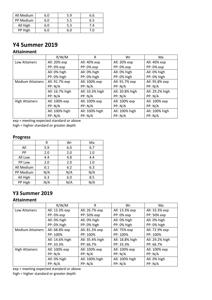| All Medium | 6.0 | 5.9 | 6.6 |
|------------|-----|-----|-----|
| PP Medium  | 6.0 | 5.5 | 6.5 |
| All High   | 6.0 | 5.3 | 7.4 |
| PP High    | 6.0 | 6.0 | 7.0 |

# **Y4 Summer 2019**

## **Attainment**

|                         | R/W/M           | R               | Wr              | Ma              |
|-------------------------|-----------------|-----------------|-----------------|-----------------|
| Low Attainers           | All: 20% exp    | All: 40% exp    | All: 20% exp    | All: 40% exp    |
|                         | PP: 0% exp      | PP: 0% exp      | PP: 0% exp      | PP: 0% exp      |
|                         | All: 0% high    | All: 0% high    | All: 0% high    | All: 0% high    |
|                         | PP: 0% high     | PP: 0% high     | PP: 0% high     | PP: 0% high     |
| <b>Medium Attainers</b> | All: 91.7% exp  | All: 100% exp   | All: 91.7% exp  | All: 95.8% exp  |
|                         | PP: N/A         | PP: N/A         | PP: N/A         | PP: N/A         |
|                         | All: 16.7% high | All: 33.3% high | All: 20.8% high | All: 29.2% high |
|                         | PP: N/A         | PP: N/A         | PP: N/A         | PP: N/A         |
| <b>High Attainers</b>   | All: 100% exp   | All: 100% exp   | All: 100% exp   | All: 100% exp   |
|                         | PP: N/A         | PP: N/A         | PP: N/A         | PP: N/A         |
|                         | All: 100% high  | All: 100% high  | All: 100% high  | All: 100% high  |
|                         | PP: N/A         | PP: N/A         | PP: N/A         | PP: N/A         |

exp = meeting expected standard or above high = higher standard or greater depth

## **Progress**

|            | R   | Wr  | Ma  |
|------------|-----|-----|-----|
| All        | 5.9 | 6.0 | 6.7 |
| PP         | 2.0 | 2.0 | 1.0 |
| All Low    | 4.4 | 4.8 | 4.4 |
| PP Low     | 2.0 | 2.0 | 1.0 |
| All Medium | 6.1 | 6.2 | 6.3 |
| PP Medium  | N/A | N/A | N/A |
| All High   | 6.3 | 6.0 | 8.5 |
| PP High    | N/A | N/A | N/A |

# **Y3 Summer 2019**

## **Attainment**

|                         | R/W/M           | R               | Wr              | Ma              |
|-------------------------|-----------------|-----------------|-----------------|-----------------|
| Low Attainers           | All: 13.3% exp  | All: 26.7% exp  | All: 13.3% exp  | All: 33.3% exp  |
|                         | PP: 0% exp      | PP: 50% exp     | PP: 0% exp      | PP: 50% exp     |
|                         | All: 0% high    | All: 0% high    | All: 0% high    | All: 0% high    |
|                         | PP: 0% high     | PP: 0% high     | PP: 0% high     | PP: 0% high     |
| <b>Medium Attainers</b> | All: 68.8% exp  | All: 81.3% exp  | All: 75% exp    | All: 72.9% exp  |
|                         | PP: 100%        | PP: 100%        | PP: 100%        | PP: 100%        |
|                         | All: 14.6% high | All: 35.4% high | All: 18.8% high | All: 29.2% high |
|                         | PP: 33.3%       | PP: 66.7%       | PP: 33.3%       | PP: 66.7%       |
| <b>High Attainers</b>   | All: 100% exp   | All: 100% exp   | All: 100% exp   | All: 100% exp   |
|                         | PP: N/A         | PP: N/A         | PP: N/A         | PP: N/A         |
|                         | All: 0% high    | All: 100% high  | All: 100% high  | All: 0% high    |
|                         | PP: N/A         | PP: N/A         | PP: N/A         | PP: N/A         |

exp = meeting expected standard or above high = higher standard or greater depth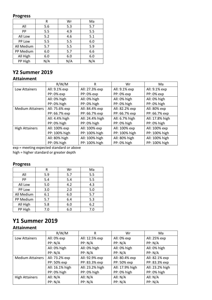## **Progress**

|            | R   | Wr  | Ma  |
|------------|-----|-----|-----|
| All        | 5.6 | 5.3 | 5.7 |
| PP         | 5.5 | 4.9 | 5.5 |
| All Low    | 5.2 | 4.6 | 5.1 |
| PP Low     | 5.5 | 5.5 | 6.0 |
| All Medium | 5.7 | 5.5 | 5.9 |
| PP Medium  | 6.0 | 5.7 | 6.6 |
| All High   | 6.0 | 6.0 | 6.0 |
| PP High    | N/A | N/A | N/A |

# **Y2 Summer 2019**

## **Attainment**

|                         | R/W/M          | R               | Wr             | Ma              |
|-------------------------|----------------|-----------------|----------------|-----------------|
| Low Attainers           | All: 9.1% exp  | All: 27.3% exp  | All: 9.1% exp  | All: 9.1% exp   |
|                         | PP: 0% exp     | PP: 0% exp      | PP: 0% exp     | PP: 0% exp      |
|                         | All: 0% high   | All: 0% high    | All: 0% high   | All: 0% high    |
|                         | PP: 0% high    | PP: 0% high     | PP: 0% high    | PP: 0% high     |
| <b>Medium Attainers</b> | All: 75.6% exp | All: 84.4% exp  | All: 82.2% exp | All: 80% exp    |
|                         | PP: 66.7% exp  | PP: 66.7% exp   | PP: 66.7% exp  | PP: 66.7% exp   |
|                         | All: 4.4% high | All: 24.4% high | All: 6.7% high | All: 17.8% high |
|                         | PP: 0% high    | PP: 0% high     | PP: 0% high    | PP: 0% high     |
| <b>High Attainers</b>   | All: 100% exp  | All: 100% exp   | All: 100% exp  | All: 100% exp   |
|                         | PP: 100% high  | PP: 100% high   | PP: 100% high  | PP: 100% high   |
|                         | All: 80% high  | All: 100% high  | All: 80% high  | All: 100% high  |
|                         | PP: 0% high    | PP: 100% high   | PP: 0% high    | PP: 100% high   |

exp = meeting expected standard or above

high = higher standard or greater depth

## **Progress**

|            | R   | Wr  | Ma  |
|------------|-----|-----|-----|
| All        | 5.9 | 5.7 | 5.5 |
| PP         | 5.4 | 5.4 | 5.5 |
| All Low    | 5.0 | 4.2 | 4.3 |
| PP Low     | 3.0 | 2.0 | 5.0 |
| All Medium | 6.1 | 6.0 | 5.7 |
| PP Medium  | 5.7 | 6.4 | 5.3 |
| All High   | 5.8 | 6.0 | 6.2 |
| PP High    | 7.0 | 6.0 | 7.0 |

# **Y1 Summer 2019**

## **Attainment**

|                         | R/W/M           | R               | Wr              | Ma              |
|-------------------------|-----------------|-----------------|-----------------|-----------------|
| Low Attainers           | All: 0% exp     | All: 12.5% exp  | All: 0% exp     | All: 25% exp    |
|                         | PP: N/A         | PP: N/A         | PP: N/A         | PP: N/A         |
|                         | All: 0% high    | All: 0% high    | All: 0% high    | All: 0% high    |
|                         | PP: N/A         | PP: N/A         | PP: N/A         | PP: N/A         |
| <b>Medium Attainers</b> | All: 73.2% exp  | All: 92.9% exp  | All: 80.4% exp  | All: 82.1% exp  |
|                         | PP: 50% exp     | PP: 83.3% exp   | PP: 50% exp     | PP: 83.3% exp   |
|                         | All: 16.1% high | All: 23.2% high | All: 17.9% high | All: 23.2% high |
|                         | PP: 0% high     | PP: 0% high     | PP: 0% high     | PP: 0% high     |
| <b>High Attainers</b>   | All: N/A        | All: $N/A$      | All: $N/A$      | All: $N/A$      |
|                         | PP: N/A         | PP: N/A         | PP: N/A         | PP: N/A         |